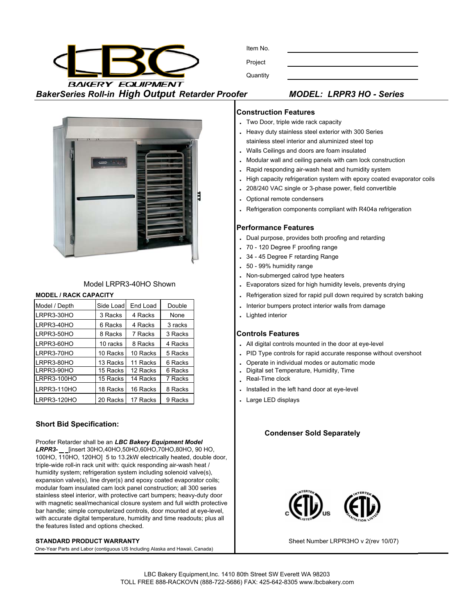**BAKERY EQUIPMENT** *BakerSeries Roll-in High Output Retarder Proofer MODEL: LRPR3 HO - Series*





# Model LRPR3-40HO Shown

| Model / Depth | Side Load | End Load | Double  |
|---------------|-----------|----------|---------|
| LRPR3-30HO    | 3 Racks   | 4 Racks  | None    |
| LRPR3-40HO    | 6 Racks   | 4 Racks  | 3 racks |
| LRPR3-50HO    | 8 Racks   | 7 Racks  | 3 Racks |
| LRPR3-60HO    | 10 racks  | 8 Racks  | 4 Racks |
| LRPR3-70HO    | 10 Racks  | 10 Racks | 5 Racks |
| LRPR3-80HO    | 13 Racks  | 11 Racks | 6 Racks |
| LRPR3-90HO    | 15 Racks  | 12 Racks | 6 Racks |
| LRPR3-100HO   | 15 Racks  | 14 Racks | 7 Racks |
| LRPR3-110HO   | 18 Racks  | 16 Racks | 8 Racks |
| LRPR3-120HO   | 20 Racks  | 17 Racks | 9 Racks |

# **Short Bid Specification:**

Proofer Retarder shall be an *LBC Bakery Equipment Model LRPR3-* [insert 30HO,40HO,50HO,60HO,70HO,80HO, 90 HO, 100HO, 110HO, 120HO] 5 to 13.2kW electrically heated, double door, triple-wide roll-in rack unit with: quick responding air-wash heat / humidity system; refrigeration system including solenoid valve(s), expansion valve(s), line dryer(s) and epoxy coated evaporator coils; modular foam insulated cam lock panel construction; all 300 series stainless steel interior, with protective cart bumpers; heavy-duty door with magnetic seal/mechanical closure system and full width protective bar handle; simple computerized controls, door mounted at eye-level, with accurate digital temperature, humidity and time readouts; plus all the features listed and options checked.

### **STANDARD PRODUCT WARRANTY**

One-Year Parts and Labor (contiguous US Including Alaska and Hawaii, Canada)

### **Construction Features**

- **.** Two Door, triple wide rack capacity
- **.** Heavy duty stainless steel exterior with 300 Series stainless steel interior and aluminized steel top
- **.** Walls Ceilings and doors are foam insulated
- **.** Modular wall and ceiling panels with cam lock construction
- **.** Rapid responding air-wash heat and humidity system
- **.** High capacity refrigeration system with epoxy coated evaporator coils
- **.** 208/240 VAC single or 3-phase power, field convertible
- **.** Optional remote condensers
- **.** Refrigeration components compliant with R404a refrigeration

# **Performance Features**

- **.** Dual purpose, provides both proofing and retarding
- **.** 70 120 Degree F proofing range
- **.** 34 45 Degree F retarding Range
- **.** 50 99% humidity range
- **.** Non-submerged calrod type heaters
- **.** Evaporators sized for high humidity levels, prevents drying
- **MODEL / RACK CAPACITY ... Refrigeration sized for rapid pull down required by scratch baking** 
	- . Interior bumpers protect interior walls from damage
	- **.** Lighted interior

### **Controls Features**

- . All digital controls mounted in the door at eye-level
- . PID Type controls for rapid accurate response without overshoot
- . Operate in individual modes or automatic mode
- **15 Digital set Temperature, Humidity, Time**
- Real-Time clock
- . Installed in the left hand door at eye-level
- **Large LED displays**

# **Condenser Sold Separately**



Sheet Number LRPR3HO v 2(rev 10/07)